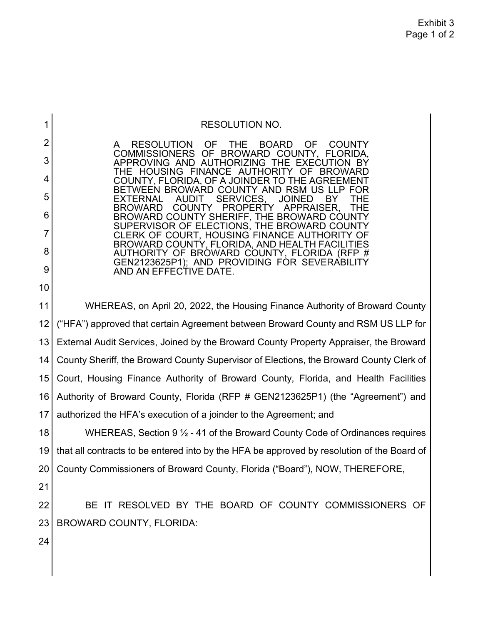| 1  | <b>RESOLUTION NO.</b>                                                                                          |
|----|----------------------------------------------------------------------------------------------------------------|
| 2  | <b>RESOLUTION</b><br>OF<br>THE<br><b>BOARD</b><br><b>OF</b><br><b>COUNTY</b>                                   |
| 3  | <b>COMMISSIONERS OF</b><br><b>BROWARD</b><br>COUNTY,<br>FLORIDA.<br>AUTHORIZING THE EXECUTION<br>APPROVING AND |
| 4  | THE HOUSING<br>FINANCE AUTHORITY<br><b>BROWARD</b><br>COUNTY, FLORIDA, OF A JOINDER TO THE AGREEM              |
| 5  | TWEEN BROWARD COUNTY AND RSM US<br>AUDIT<br><b>SERVICES</b><br><b>JOINED</b><br>BY<br>FXTFRNAL                 |
| 6  | APPRAISER.<br><b>COUNTY</b><br><b>PROPERT</b><br><b>BROWARD</b><br>BROWARD COUNTY SHERIFF, THE BROWARD COUNTY  |
| 7  | SUPERVISOR OF ELECTIONS, THE BROWARD COUNTY<br>CLERK OF COURT, HOUSING FINANCE AUTHORITY                       |
| 8  | BROWARD COUNTY, FLORIDA, AND HEALTH FACILITIES<br>AUTHORITY OF BROWARD COUNTY, FLORIDA (RFP #                  |
| 9  | GEN2123625P1); AND PROVIDING FOR SEVERABILITY<br>AND AN EFFECTIVE DATE.                                        |
| 10 |                                                                                                                |
| 11 | WHEREAS, on April 20, 2022, the Housing Finance Authority of Broward County                                    |
| 12 | ("HFA") approved that certain Agreement between Broward County and RSM US LLP for                              |
| 13 | External Audit Services, Joined by the Broward County Property Appraiser, the Broward                          |
| 14 | County Sheriff, the Broward County Supervisor of Elections, the Broward County Clerk of                        |
| 15 | Court, Housing Finance Authority of Broward County, Florida, and Health Facilities                             |
| 16 | Authority of Broward County, Florida (RFP # GEN2123625P1) (the "Agreement") and                                |
| 17 | authorized the HFA's execution of a joinder to the Agreement; and                                              |
| 18 | WHEREAS, Section 9 1/2 - 41 of the Broward County Code of Ordinances requires                                  |
| 19 | that all contracts to be entered into by the HFA be approved by resolution of the Board of                     |
| 20 | County Commissioners of Broward County, Florida ("Board"), NOW, THEREFORE,                                     |
| 21 |                                                                                                                |
| 22 | BE IT RESOLVED BY THE BOARD OF COUNTY COMMISSIONERS OF                                                         |
| 23 | <b>BROWARD COUNTY, FLORIDA:</b>                                                                                |
| 24 |                                                                                                                |
|    |                                                                                                                |